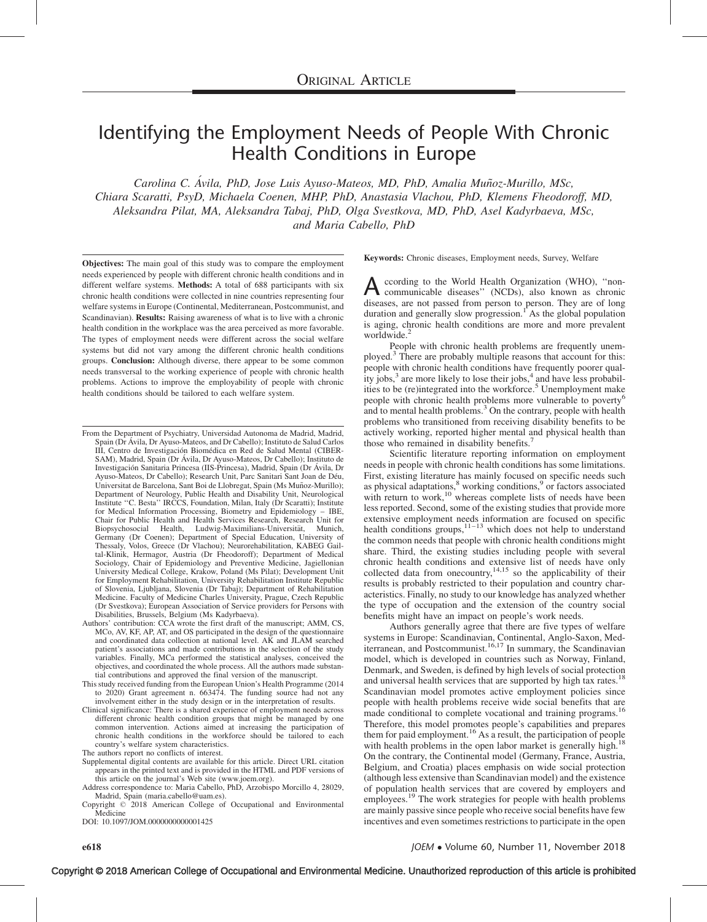# Identifying the Employment Needs of People With Chronic Health Conditions in Europe

Carolina C. Ávila, PhD, Jose Luis Ayuso-Mateos, MD, PhD, Amalia Muñoz-Murillo, MSc, Chiara Scaratti, PsyD, Michaela Coenen, MHP, PhD, Anastasia Vlachou, PhD, Klemens Fheodoroff, MD, Aleksandra Pilat, MA, Aleksandra Tabaj, PhD, Olga Svestkova, MD, PhD, Asel Kadyrbaeva, MSc, and Maria Cabello, PhD

Objectives: The main goal of this study was to compare the employment needs experienced by people with different chronic health conditions and in different welfare systems. Methods: A total of 688 participants with six chronic health conditions were collected in nine countries representing four welfare systems in Europe (Continental, Mediterranean, Postcommunist, and Scandinavian). Results: Raising awareness of what is to live with a chronic health condition in the workplace was the area perceived as more favorable. The types of employment needs were different across the social welfare systems but did not vary among the different chronic health conditions groups. Conclusion: Although diverse, there appear to be some common needs transversal to the working experience of people with chronic health problems. Actions to improve the employability of people with chronic health conditions should be tailored to each welfare system.

- From the Department of Psychiatry, Universidad Autonoma de Madrid, Madrid, Spain (Dr A´vila, Dr Ayuso-Mateos, and Dr Cabello); Instituto de Salud Carlos III, Centro de Investigación Biomédica en Red de Salud Mental (CIBER-SAM), Madrid, Spain (Dr Ávila, Dr Ayuso-Mateos, Dr Cabello); Instituto de Investigación Sanitaria Princesa (IIS-Princesa), Madrid, Spain (Dr Ávila, Dr Ayuso-Mateos, Dr Cabello); Research Unit, Parc Sanitari Sant Joan de Déu, Universitat de Barcelona, Sant Boi de Llobregat, Spain (Ms Muñoz-Murillo); Department of Neurology, Public Health and Disability Unit, Neurological Institute ''C. Besta'' IRCCS, Foundation, Milan, Italy (Dr Scaratti); Institute for Medical Information Processing, Biometry and Epidemiology – IBE, Chair for Public Health and Health Services Research, Research Unit for<br>Biopsychosocial Health, Ludwig-Maximilians-Universität, Munich, Germany (Dr Coenen); Department of Special Education, University of Thessaly, Volos, Greece (Dr Vlachou); Neurorehabilitation, KABEG Gailtal-Klinik, Hermagor, Austria (Dr Fheodoroff); Department of Medical Sociology, Chair of Epidemiology and Preventive Medicine, Jagiellonian University Medical College, Krakow, Poland (Ms Pilat); Development Unit for Employment Rehabilitation, University Rehabilitation Institute Republic of Slovenia, Ljubljana, Slovenia (Dr Tabaj); Department of Rehabilitation Medicine. Faculty of Medicine Charles University, Prague, Czech Republic (Dr Svestkova); European Association of Service providers for Persons with
- Disabilities, Brussels, Belgium (Ms Kadyrbaeva). Authors' contribution: CCA wrote the first draft of the manuscript; AMM, CS, MCo, AV, KF, AP, AT, and OS participated in the design of the questionnaire and coordinated data collection at national level. AK and JLAM searched patient's associations and made contributions in the selection of the study variables. Finally, MCa performed the statistical analyses, conceived the objectives, and coordinated the whole process. All the authors made substantial contributions and approved the final version of the manuscript.
- This study received funding from the European Union's Health Programme (2014 to 2020) Grant agreement n. 663474. The funding source had not any involvement either in the study design or in the interpretation of results.
- Clinical significance: There is a shared experience of employment needs across different chronic health condition groups that might be managed by one common intervention. Actions aimed at increasing the participation of chronic health conditions in the workforce should be tailored to each country's welfare system characteristics.
- The authors report no conflicts of interest.
- Supplemental digital contents are available for this article. Direct URL citation appears in the printed text and is provided in the HTML and PDF versions of this article on the journal's Web site ([www.joem.org\)](http://www.joem.org/).
- Address correspondence to: Maria Cabello, PhD, Arzobispo Morcillo 4, 28029, Madrid, Spain [\(maria.cabello@uam.es\)](mailto:maria.cabello@uam.es).
- Copyright © 2018 American College of Occupational and Environmental Medicine

DOI: 10.1097/JOM.0000000000001425

Keywords: Chronic diseases, Employment needs, Survey, Welfare

A ccording to the World Health Organization (WHO), "non-<br>communicable diseases" (NCDs), also known as chronic diseases, are not passed from person to person. They are of long duration and generally slow progression.<sup>[1](#page-6-0)</sup> As the global population is aging, chronic health conditions are more and more prevalent worldwide.<sup>[2](#page-6-0)</sup>

People with chronic health problems are frequently unemployed.[3](#page-6-0) There are probably multiple reasons that account for this: people with chronic health conditions have frequently poorer quality jobs, $3$  are more likely to lose their jobs, $4$  and have less probabil-ities to be (re)integrated into the workforce.<sup>[5](#page-6-0)</sup> Unemployment make people with chronic health problems more vulnerable to poverty<sup>[6](#page-6-0)</sup> and to mental health problems.<sup>[3](#page-6-0)</sup> On the contrary, people with health problems who transitioned from receiving disability benefits to be actively working, reported higher mental and physical health than those who remained in disability benefits.<sup>4</sup>

Scientific literature reporting information on employment needs in people with chronic health conditions has some limitations. First, existing literature has mainly focused on specific needs such as physical adaptations,<sup>[8](#page-6-0)</sup> working conditions,<sup>[9](#page-6-0)</sup> or factors associated with return to work, $10$  whereas complete lists of needs have been less reported. Second, some of the existing studies that provide more extensive employment needs information are focused on specific health conditions groups,  $11-13$  which does not help to understand the common needs that people with chronic health conditions might share. Third, the existing studies including people with several chronic health conditions and extensive list of needs have only collected data from one country,<sup>[14,15](#page-6-0)</sup> so the applicability of their results is probably restricted to their population and country characteristics. Finally, no study to our knowledge has analyzed whether the type of occupation and the extension of the country social benefits might have an impact on people's work needs.

Authors generally agree that there are five types of welfare systems in Europe: Scandinavian, Continental, Anglo-Saxon, Med-<br>iterranean, and Postcommunist.<sup>[16,17](#page-6-0)</sup> In summary, the Scandinavian model, which is developed in countries such as Norway, Finland, Denmark, and Sweden, is defined by high levels of social protection and universal health services that are supported by high tax rates.<sup>[18](#page-6-0)</sup> Scandinavian model promotes active employment policies since people with health problems receive wide social benefits that are made conditional to complete vocational and training programs.<sup>[16](#page-6-0)</sup> Therefore, this model promotes people's capabilities and prepares them for paid employment.[16](#page-6-0) As a result, the participation of people with health problems in the open labor market is generally high.<sup>[18](#page-6-0)</sup> On the contrary, the Continental model (Germany, France, Austria, Belgium, and Croatia) places emphasis on wide social protection (although less extensive than Scandinavian model) and the existence of population health services that are covered by employers and employees.<sup>[19](#page-6-0)</sup> The work strategies for people with health problems are mainly passive since people who receive social benefits have few incentives and even sometimes restrictions to participate in the open

 $e618$  JOEM  $\bullet$ JOEM • Volume 60, Number 11, November 2018

Copyright © 2018 American College of Occupational and Environmental Medicine. Unauthorized reproduction of this article is prohibited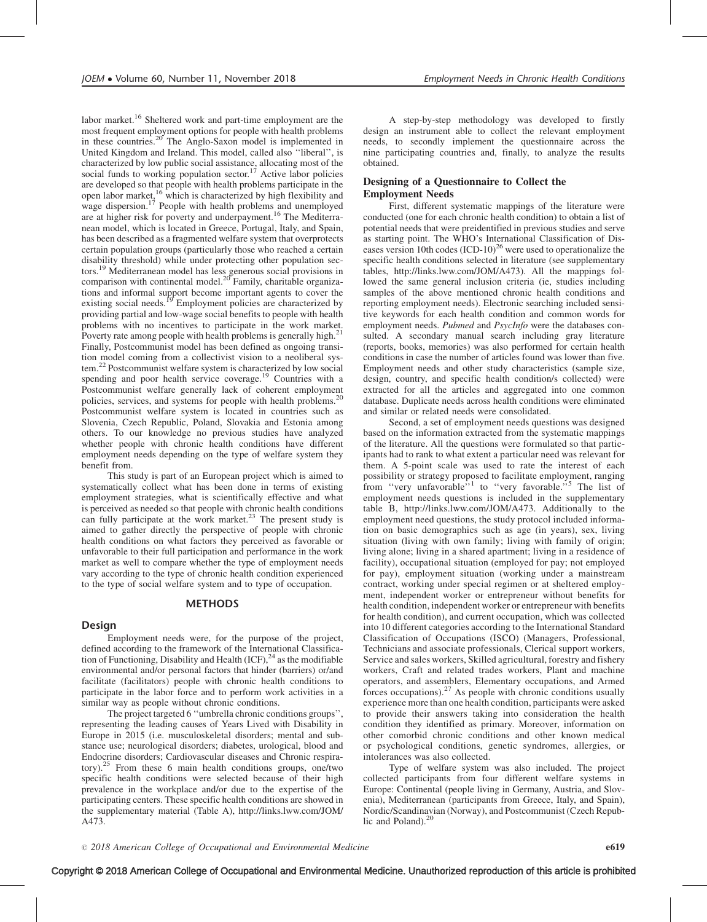labor market.[16](#page-6-0) Sheltered work and part-time employment are the most frequent employment options for people with health problems in these countries.<sup>[20](#page-6-0)</sup> The Anglo-Saxon model is implemented in United Kingdom and Ireland. This model, called also ''liberal'', is characterized by low public social assistance, allocating most of the social funds to working population sector.<sup>[17](#page-6-0)</sup> Active labor policies are developed so that people with health problems participate in the open labor market,<sup>[16](#page-6-0)</sup> which is characterized by high flexibility and wage dispersion.<sup>[17](#page-6-0)</sup> People with health problems and unemployed are at higher risk for poverty and underpayment.<sup>[16](#page-6-0)</sup> The Mediterranean model, which is located in Greece, Portugal, Italy, and Spain, has been described as a fragmented welfare system that overprotects certain population groups (particularly those who reached a certain disability threshold) while under protecting other population sectors.[19](#page-6-0) Mediterranean model has less generous social provisions in comparison with continental model. $20$  Family, charitable organiza-tions and informal support become important agents to cover the existing social needs.<sup>[19](#page-6-0)</sup> Employment policies are characterized by providing partial and low-wage social benefits to people with health providing partial and to the set of participate in the work market. Poverty rate among people with health problems is generally high.<sup>2</sup> Finally, Postcommunist model has been defined as ongoing transition model coming from a collectivist vision to a neoliberal system[.22](#page-6-0) Postcommunist welfare system is characterized by low social spending and poor health service coverage.<sup>[19](#page-6-0)</sup> Countries with a Postcommunist welfare generally lack of coherent employment policies, services, and systems for people with health problems.<sup>[20](#page-6-0)</sup> Postcommunist welfare system is located in countries such as Slovenia, Czech Republic, Poland, Slovakia and Estonia among others. To our knowledge no previous studies have analyzed whether people with chronic health conditions have different employment needs depending on the type of welfare system they benefit from.

This study is part of an European project which is aimed to systematically collect what has been done in terms of existing employment strategies, what is scientifically effective and what is perceived as needed so that people with chronic health conditions can fully participate at the work market.<sup>[23](#page-6-0)</sup> The present study is aimed to gather directly the perspective of people with chronic health conditions on what factors they perceived as favorable or unfavorable to their full participation and performance in the work market as well to compare whether the type of employment needs vary according to the type of chronic health condition experienced to the type of social welfare system and to type of occupation.

#### METHODS

## Design

Employment needs were, for the purpose of the project, defined according to the framework of the International Classification of Functioning, Disability and Health  $(ICF)$ ,  $^{24}$  $^{24}$  $^{24}$  as the modifiable environmental and/or personal factors that hinder (barriers) or/and facilitate (facilitators) people with chronic health conditions to participate in the labor force and to perform work activities in a similar way as people without chronic conditions.

The project targeted 6 ''umbrella chronic conditions groups'', representing the leading causes of Years Lived with Disability in Europe in 2015 (i.e. musculoskeletal disorders; mental and substance use; neurological disorders; diabetes, urological, blood and Endocrine disorders; Cardiovascular diseases and Chronic respira-tory).<sup>[25](#page-6-0)</sup> From these 6 main health conditions groups, one/two specific health conditions were selected because of their high prevalence in the workplace and/or due to the expertise of the participating centers. These specific health conditions are showed in the supplementary material (Table A), [http://links.lww.com/JOM/](http://links.lww.com/JOM/A473) [A473](http://links.lww.com/JOM/A473).

A step-by-step methodology was developed to firstly design an instrument able to collect the relevant employment needs, to secondly implement the questionnaire across the nine participating countries and, finally, to analyze the results obtained.

#### Designing of a Questionnaire to Collect the Employment Needs

First, different systematic mappings of the literature were conducted (one for each chronic health condition) to obtain a list of potential needs that were preidentified in previous studies and serve as starting point. The WHO's International Classification of Diseases version 10th codes  $(ICD-10)^{26}$  $(ICD-10)^{26}$  $(ICD-10)^{26}$  were used to operationalize the specific health conditions selected in literature (see supplementary tables, [http://links.lww.com/JOM/A473\)](http://links.lww.com/JOM/A473). All the mappings followed the same general inclusion criteria (ie, studies including samples of the above mentioned chronic health conditions and reporting employment needs). Electronic searching included sensitive keywords for each health condition and common words for employment needs. Pubmed and PsycInfo were the databases consulted. A secondary manual search including gray literature (reports, books, memories) was also performed for certain health conditions in case the number of articles found was lower than five. Employment needs and other study characteristics (sample size, design, country, and specific health condition/s collected) were extracted for all the articles and aggregated into one common database. Duplicate needs across health conditions were eliminated and similar or related needs were consolidated.

Second, a set of employment needs questions was designed based on the information extracted from the systematic mappings of the literature. All the questions were formulated so that participants had to rank to what extent a particular need was relevant for them. A 5-point scale was used to rate the interest of each possibility or strategy proposed to facilitate employment, ranging from "very unfavorable"<sup>[1](#page-6-0)</sup> to "very favorable."<sup>[5](#page-6-0)</sup> The list of employment needs questions is included in the supplementary table B, [http://links.lww.com/JOM/A473.](http://links.lww.com/JOM/A473) Additionally to the employment need questions, the study protocol included information on basic demographics such as age (in years), sex, living situation (living with own family; living with family of origin; living alone; living in a shared apartment; living in a residence of facility), occupational situation (employed for pay; not employed for pay), employment situation (working under a mainstream contract, working under special regimen or at sheltered employment, independent worker or entrepreneur without benefits for health condition, independent worker or entrepreneur with benefits for health condition), and current occupation, which was collected into 10 different categories according to the International Standard Classification of Occupations (ISCO) (Managers, Professional, Technicians and associate professionals, Clerical support workers, Service and sales workers, Skilled agricultural, forestry and fishery workers, Craft and related trades workers, Plant and machine operators, and assemblers, Elementary occupations, and Armed forces occupations). $27$  As people with chronic conditions usually experience more than one health condition, participants were asked to provide their answers taking into consideration the health condition they identified as primary. Moreover, information on other comorbid chronic conditions and other known medical or psychological conditions, genetic syndromes, allergies, or intolerances was also collected.

Type of welfare system was also included. The project collected participants from four different welfare systems in Europe: Continental (people living in Germany, Austria, and Slovenia), Mediterranean (participants from Greece, Italy, and Spain), Nordic/Scandinavian (Norway), and Postcommunist (Czech Repub-lic and Poland).<sup>[20](#page-6-0)</sup>

 $\degree$  2018 American College of Occupational and Environmental Medicine e619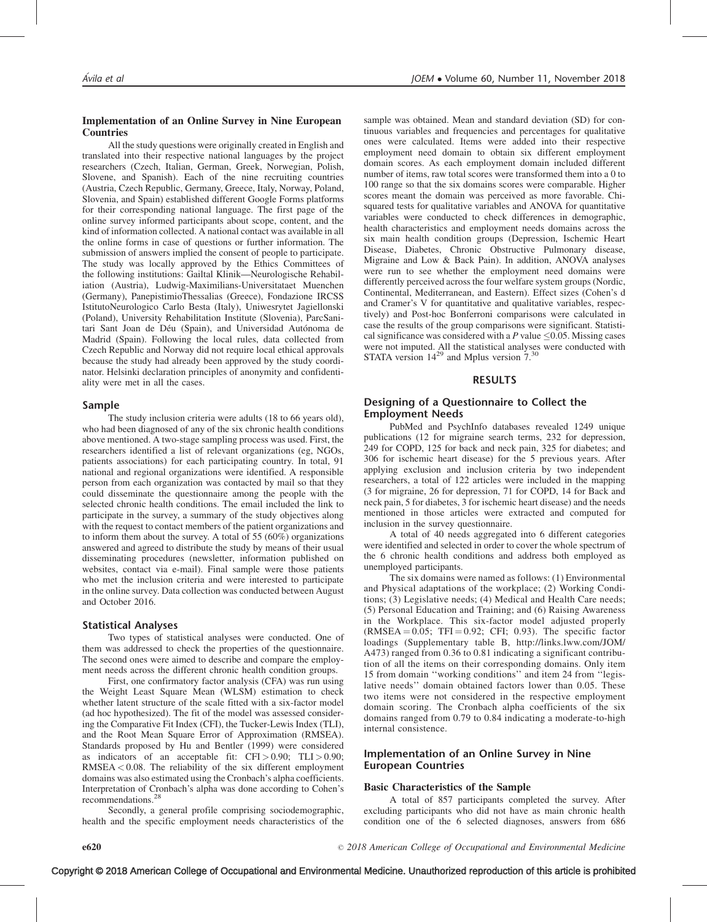#### Implementation of an Online Survey in Nine European Countries

All the study questions were originally created in English and translated into their respective national languages by the project researchers (Czech, Italian, German, Greek, Norwegian, Polish, Slovene, and Spanish). Each of the nine recruiting countries (Austria, Czech Republic, Germany, Greece, Italy, Norway, Poland, Slovenia, and Spain) established different Google Forms platforms for their corresponding national language. The first page of the online survey informed participants about scope, content, and the kind of information collected. A national contact was available in all the online forms in case of questions or further information. The submission of answers implied the consent of people to participate. The study was locally approved by the Ethics Committees of the following institutions: Gailtal Klinik—Neurologische Rehabiliation (Austria), Ludwig-Maximilians-Universitataet Muenchen (Germany), PanepistimioThessalias (Greece), Fondazione IRCSS IstitutoNeurologico Carlo Besta (Italy), Uniwesrytet Jagiellonski (Poland), University Rehabilitation Institute (Slovenia), ParcSanitari Sant Joan de Déu (Spain), and Universidad Autónoma de Madrid (Spain). Following the local rules, data collected from Czech Republic and Norway did not require local ethical approvals because the study had already been approved by the study coordinator. Helsinki declaration principles of anonymity and confidentiality were met in all the cases.

#### Sample

The study inclusion criteria were adults (18 to 66 years old), who had been diagnosed of any of the six chronic health conditions above mentioned. A two-stage sampling process was used. First, the researchers identified a list of relevant organizations (eg, NGOs, patients associations) for each participating country. In total, 91 national and regional organizations were identified. A responsible person from each organization was contacted by mail so that they could disseminate the questionnaire among the people with the selected chronic health conditions. The email included the link to participate in the survey, a summary of the study objectives along with the request to contact members of the patient organizations and to inform them about the survey. A total of 55 (60%) organizations answered and agreed to distribute the study by means of their usual disseminating procedures (newsletter, information published on websites, contact via e-mail). Final sample were those patients who met the inclusion criteria and were interested to participate in the online survey. Data collection was conducted between August and October 2016.

#### Statistical Analyses

Two types of statistical analyses were conducted. One of them was addressed to check the properties of the questionnaire. The second ones were aimed to describe and compare the employment needs across the different chronic health condition groups.

First, one confirmatory factor analysis (CFA) was run using the Weight Least Square Mean (WLSM) estimation to check whether latent structure of the scale fitted with a six-factor model (ad hoc hypothesized). The fit of the model was assessed considering the Comparative Fit Index (CFI), the Tucker-Lewis Index (TLI), and the Root Mean Square Error of Approximation (RMSEA). Standards proposed by Hu and Bentler (1999) were considered as indicators of an acceptable fit:  $CFI > 0.90$ ;  $TLI > 0.90$ ; RMSEA < 0.08. The reliability of the six different employment domains was also estimated using the Cronbach's alpha coefficients. Interpretation of Cronbach's alpha was done according to Cohen's recommendations.

Secondly, a general profile comprising sociodemographic, health and the specific employment needs characteristics of the sample was obtained. Mean and standard deviation (SD) for continuous variables and frequencies and percentages for qualitative ones were calculated. Items were added into their respective employment need domain to obtain six different employment domain scores. As each employment domain included different number of items, raw total scores were transformed them into a 0 to 100 range so that the six domains scores were comparable. Higher scores meant the domain was perceived as more favorable. Chisquared tests for qualitative variables and ANOVA for quantitative variables were conducted to check differences in demographic, health characteristics and employment needs domains across the six main health condition groups (Depression, Ischemic Heart Disease, Diabetes, Chronic Obstructive Pulmonary disease, Migraine and Low & Back Pain). In addition, ANOVA analyses were run to see whether the employment need domains were differently perceived across the four welfare system groups (Nordic, Continental, Mediterranean, and Eastern). Effect sizes (Cohen's d and Cramer's V for quantitative and qualitative variables, respectively) and Post-hoc Bonferroni comparisons were calculated in case the results of the group comparisons were significant. Statistical significance was considered with a P value  $\leq 0.05$ . Missing cases were not imputed. All the statistical analyses were conducted with STATA version  $14^{29}$  and Mplus version  $7.^{30}$  $7.^{30}$  $7.^{30}$ 

#### RESULTS

#### Designing of a Questionnaire to Collect the Employment Needs

PubMed and PsychInfo databases revealed 1249 unique publications (12 for migraine search terms, 232 for depression, 249 for COPD, 125 for back and neck pain, 325 for diabetes; and 306 for ischemic heart disease) for the 5 previous years. After applying exclusion and inclusion criteria by two independent researchers, a total of 122 articles were included in the mapping (3 for migraine, 26 for depression, 71 for COPD, 14 for Back and neck pain, 5 for diabetes, 3 for ischemic heart disease) and the needs mentioned in those articles were extracted and computed for inclusion in the survey questionnaire.

A total of 40 needs aggregated into 6 different categories were identified and selected in order to cover the whole spectrum of the 6 chronic health conditions and address both employed as unemployed participants.

The six domains were named as follows: (1) Environmental and Physical adaptations of the workplace; (2) Working Conditions; (3) Legislative needs; (4) Medical and Health Care needs; (5) Personal Education and Training; and (6) Raising Awareness in the Workplace. This six-factor model adjusted properly  $(RMSEA = 0.05; TFI = 0.92; CFI; 0.93)$ . The specific factor loadings (Supplementary table B, [http://links.lww.com/JOM/](http://links.lww.com/JOM/A473) [A473\)](http://links.lww.com/JOM/A473) ranged from 0.36 to 0.81 indicating a significant contribution of all the items on their corresponding domains. Only item 15 from domain ''working conditions'' and item 24 from ''legislative needs'' domain obtained factors lower than 0.05. These two items were not considered in the respective employment domain scoring. The Cronbach alpha coefficients of the six domains ranged from 0.79 to 0.84 indicating a moderate-to-high internal consistence.

### Implementation of an Online Survey in Nine European Countries

#### Basic Characteristics of the Sample

A total of 857 participants completed the survey. After excluding participants who did not have as main chronic health condition one of the 6 selected diagnoses, answers from 686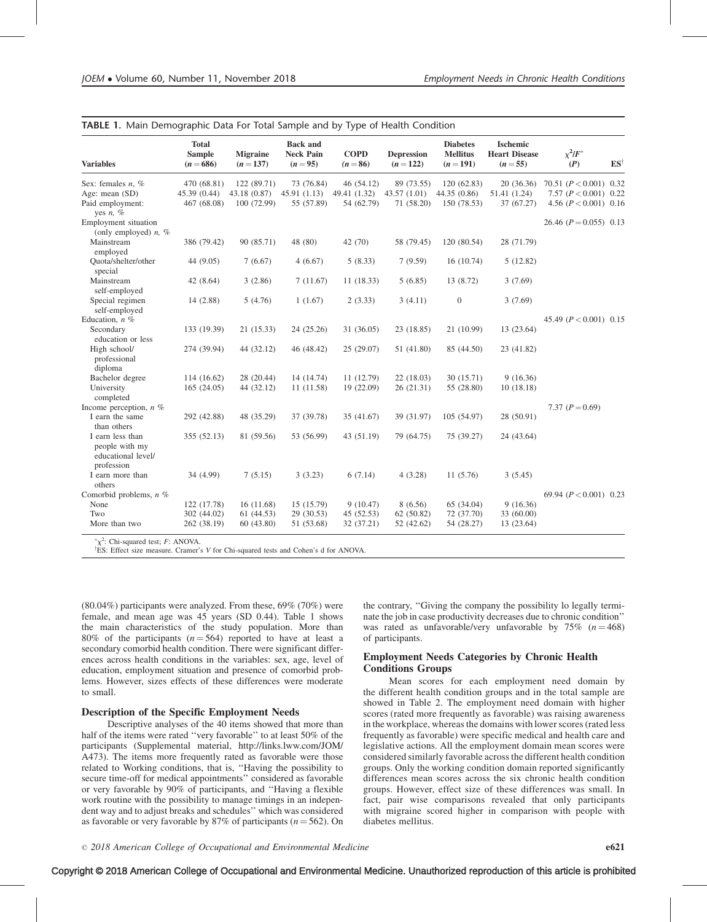| <b>Variables</b>                                                       | <b>Total</b><br><b>Sample</b><br>$(n = 686)$ | <b>Migraine</b><br>$(n = 137)$ | <b>Back and</b><br><b>Neck Pain</b><br>$(n=95)$ | <b>COPD</b><br>$(n = 86)$  | <b>Depression</b><br>$(n=122)$ | <b>Diabetes</b><br><b>Mellitus</b><br>$(n=191)$ | <b>Ischemic</b><br><b>Heart Disease</b><br>$(n=55)$ | $\chi^2/F^*$<br>(P)                                | $ES^{\dagger}$ |
|------------------------------------------------------------------------|----------------------------------------------|--------------------------------|-------------------------------------------------|----------------------------|--------------------------------|-------------------------------------------------|-----------------------------------------------------|----------------------------------------------------|----------------|
| Sex: females $n, \%$                                                   | 470 (68.81)                                  | 122(89.71)                     | 73 (76.84)                                      | 46 (54.12)                 | 89 (73.55)                     | 120 (62.83)                                     | 20(36.36)                                           | 70.51 $(P < 0.001)$ 0.32                           |                |
| Age: mean (SD)<br>Paid employment:<br>yes $n, \%$                      | 45.39 (0.44)<br>467 (68.08)                  | 43.18(0.87)<br>100 (72.99)     | 45.91(1.13)<br>55 (57.89)                       | 49.41 (1.32)<br>54 (62.79) | 43.57(1.01)<br>71 (58.20)      | 44.35 (0.86)<br>150 (78.53)                     | 51.41 (1.24)<br>37 (67.27)                          | 7.57 $(P < 0.001)$ 0.22<br>4.56 $(P < 0.001)$ 0.16 |                |
| Employment situation<br>(only employed) $n, \%$                        |                                              |                                |                                                 |                            |                                |                                                 |                                                     | 26.46 $(P = 0.055)$ 0.13                           |                |
| Mainstream<br>employed                                                 | 386 (79.42)                                  | 90 (85.71)                     | 48 (80)                                         | 42(70)                     | 58 (79.45)                     | 120 (80.54)                                     | 28 (71.79)                                          |                                                    |                |
| Quota/shelter/other<br>special                                         | 44 (9.05)                                    | 7(6.67)                        | 4(6.67)                                         | 5(8.33)                    | 7(9.59)                        | 16(10.74)                                       | 5(12.82)                                            |                                                    |                |
| Mainstream<br>self-employed                                            | 42 (8.64)                                    | 3(2.86)                        | 7(11.67)                                        | 11(18.33)                  | 5(6.85)                        | 13 (8.72)                                       | 3(7.69)                                             |                                                    |                |
| Special regimen<br>self-employed                                       | 14 (2.88)                                    | 5(4.76)                        | 1(1.67)                                         | 2(3.33)                    | 3(4.11)                        | $\overline{0}$                                  | 3(7.69)                                             |                                                    |                |
| Education, $n$ %                                                       |                                              |                                |                                                 |                            |                                |                                                 |                                                     | 45.49 $(P < 0.001)$ 0.15                           |                |
| Secondary<br>education or less                                         | 133 (19.39)                                  | 21(15.33)                      | 24 (25.26)                                      | 31 (36.05)                 | 23 (18.85)                     | 21 (10.99)                                      | 13 (23.64)                                          |                                                    |                |
| High school/<br>professional<br>diploma                                | 274 (39.94)                                  | 44 (32.12)                     | 46 (48.42)                                      | 25(29.07)                  | 51 (41.80)                     | 85 (44.50)                                      | 23 (41.82)                                          |                                                    |                |
| Bachelor degree                                                        | 114 (16.62)                                  | 28 (20.44)                     | 14 (14.74)                                      | 11(12.79)                  | 22(18.03)                      | 30 (15.71)                                      | 9(16.36)                                            |                                                    |                |
| University<br>completed                                                | 165(24.05)                                   | 44 (32.12)                     | 11(11.58)                                       | 19 (22.09)                 | 26(21.31)                      | 55 (28.80)                                      | 10(18.18)                                           |                                                    |                |
| Income perception, $n \%$                                              |                                              |                                |                                                 |                            |                                |                                                 |                                                     | 7.37 $(P=0.69)$                                    |                |
| I earn the same<br>than others                                         | 292 (42.88)                                  | 48 (35.29)                     | 37 (39.78)                                      | 35 (41.67)                 | 39 (31.97)                     | 105 (54.97)                                     | 28 (50.91)                                          |                                                    |                |
| I earn less than<br>people with my<br>educational level/<br>profession | 355(52.13)                                   | 81 (59.56)                     | 53 (56.99)                                      | 43 (51.19)                 | 79 (64.75)                     | 75 (39.27)                                      | 24 (43.64)                                          |                                                    |                |
| I earn more than<br>others                                             | 34 (4.99)                                    | 7(5.15)                        | 3(3.23)                                         | 6(7.14)                    | 4(3.28)                        | 11(5.76)                                        | 3(5.45)                                             |                                                    |                |
| Comorbid problems, $n$ %                                               |                                              |                                |                                                 |                            |                                |                                                 |                                                     | 69.94 $(P < 0.001)$ 0.23                           |                |
| None                                                                   | 122 (17.78)                                  | 16(11.68)                      | 15 (15.79)                                      | 9(10.47)                   | 8(6.56)                        | 65 (34.04)                                      | 9(16.36)                                            |                                                    |                |
| Two                                                                    | 302 (44.02)                                  | 61(44.53)                      | 29 (30.53)                                      | 45(52.53)                  | 62(50.82)                      | 72 (37.70)                                      | 33 (60.00)                                          |                                                    |                |
| More than two                                                          | 262 (38.19)                                  | 60(43.80)                      | 51 (53.68)                                      | 32 (37.21)                 | 52 (42.62)                     | 54 (28.27)                                      | 13 (23.64)                                          |                                                    |                |

| TABLE 1. Main Demographic Data For Total Sample and by Type of Health Condition |  |  |  |
|---------------------------------------------------------------------------------|--|--|--|
|---------------------------------------------------------------------------------|--|--|--|

(80.04%) participants were analyzed. From these, 69% (70%) were female, and mean age was 45 years (SD 0.44). Table 1 shows the main characteristics of the study population. More than 80% of the participants ( $n = 564$ ) reported to have at least a secondary comorbid health condition. There were significant differences across health conditions in the variables: sex, age, level of education, employment situation and presence of comorbid problems. However, sizes effects of these differences were moderate to small.

#### Description of the Specific Employment Needs

Descriptive analyses of the 40 items showed that more than half of the items were rated ''very favorable'' to at least 50% of the participants (Supplemental material, [http://links.lww.com/JOM/](http://links.lww.com/JOM/A473) [A473](http://links.lww.com/JOM/A473)). The items more frequently rated as favorable were those related to Working conditions, that is, ''Having the possibility to secure time-off for medical appointments'' considered as favorable or very favorable by 90% of participants, and ''Having a flexible work routine with the possibility to manage timings in an independent way and to adjust breaks and schedules'' which was considered as favorable or very favorable by 87% of participants ( $n = 562$ ). On the contrary, ''Giving the company the possibility lo legally terminate the job in case productivity decreases due to chronic condition'' was rated as unfavorable/very unfavorable by  $75\%$  ( $n = 468$ ) of participants.

#### Employment Needs Categories by Chronic Health Conditions Groups

Mean scores for each employment need domain by the different health condition groups and in the total sample are showed in Table 2. The employment need domain with higher scores (rated more frequently as favorable) was raising awareness in the workplace, whereas the domains with lower scores (rated less frequently as favorable) were specific medical and health care and legislative actions. All the employment domain mean scores were considered similarly favorable across the different health condition groups. Only the working condition domain reported significantly differences mean scores across the six chronic health condition groups. However, effect size of these differences was small. In fact, pair wise comparisons revealed that only participants with migraine scored higher in comparison with people with diabetes mellitus.

 $\degree$  2018 American College of Occupational and Environmental Medicine e621

# Copyright © 2018 American College of Occupational and Environmental Medicine. Unauthorized reproduction of this article is prohibited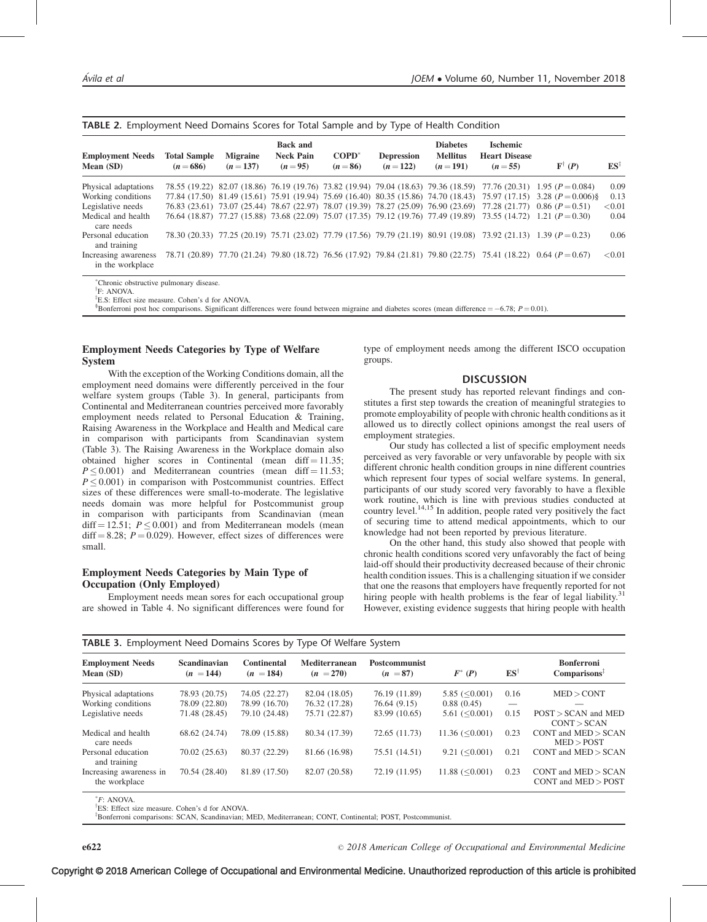| <b>Employment Needs</b><br>Mean (SD)     | <b>Total Sample</b><br>$(n = 686)$ | <b>Migraine</b><br>$(n=137)$ | <b>Back and</b><br><b>Neck Pain</b><br>$(n=95)$ | $\mathbf{COPD}^*$<br>$(n = 86)$ | <b>Depression</b><br>$(n=122)$ | <b>Diabetes</b><br><b>Mellitus</b><br>$(n=191)$ | <b>Ischemic</b><br><b>Heart Disease</b><br>$(n=55)$ | $\mathbf{F}^{\dagger}$ (P)                                                                                                          | $ES^{\ddagger}$ |
|------------------------------------------|------------------------------------|------------------------------|-------------------------------------------------|---------------------------------|--------------------------------|-------------------------------------------------|-----------------------------------------------------|-------------------------------------------------------------------------------------------------------------------------------------|-----------------|
| Physical adaptations                     |                                    |                              |                                                 |                                 |                                |                                                 |                                                     | 78.55 (19.22) 82.07 (18.86) 76.19 (19.76) 73.82 (19.94) 79.04 (18.63) 79.36 (18.59) 77.76 (20.31) 1.95 ( $P = 0.084$ )              | 0.09            |
| Working conditions                       |                                    |                              |                                                 |                                 |                                |                                                 |                                                     | 77.84 (17.50) 81.49 (15.61) 75.91 (19.94) 75.69 (16.40) 80.35 (15.86) 74.70 (18.43) 75.97 (17.15) 3.28 ( $P = 0.006$ )              | 0.13            |
| Legislative needs                        |                                    |                              |                                                 |                                 |                                |                                                 |                                                     | 76.83 (23.61) 73.07 (25.44) 78.67 (22.97) 78.07 (19.39) 78.27 (25.09) 76.90 (23.69) 77.28 (21.77) 0.86 (P=0.51)                     | < 0.01          |
| Medical and health<br>care needs         |                                    |                              |                                                 |                                 |                                |                                                 |                                                     | $76.64$ (18.87) $77.27$ (15.88) $73.68$ (22.09) $75.07$ (17.35) $79.12$ (19.76) $77.49$ (19.89) $73.55$ (14.72) 1.21 ( $P = 0.30$ ) | 0.04            |
| Personal education<br>and training       |                                    |                              |                                                 |                                 |                                |                                                 |                                                     | 78.30 (20.33) 77.25 (20.19) 75.71 (23.02) 77.79 (17.56) 79.79 (21.19) 80.91 (19.08) 73.92 (21.13) 1.39 (P=0.23)                     | 0.06            |
| Increasing awareness<br>in the workplace |                                    |                              |                                                 |                                 |                                |                                                 |                                                     | 78.71 (20.89) 77.70 (21.24) 79.80 (18.72) 76.56 (17.92) 79.84 (21.81) 79.80 (22.75) 75.41 (18.22) 0.64 ( $P=0.67$ )                 | < 0.01          |

| TABLE 2. Employment Need Domains Scores for Total Sample and by Type of Health Condition |  |
|------------------------------------------------------------------------------------------|--|
|------------------------------------------------------------------------------------------|--|

Chronic obstructive pulmonary disease.

<sup>†</sup>F: ANOVA.

<sup>‡</sup>E.S: Effect size measure. Cohen's d for ANOVA.

<sup>§</sup>Bonferroni post hoc comparisons. Significant differences were found between migraine and diabetes scores (mean difference =  $-6.78$ ;  $P = 0.01$ ).

#### Employment Needs Categories by Type of Welfare System

With the exception of the Working Conditions domain, all the employment need domains were differently perceived in the four welfare system groups (Table 3). In general, participants from Continental and Mediterranean countries perceived more favorably employment needs related to Personal Education & Training, Raising Awareness in the Workplace and Health and Medical care in comparison with participants from Scandinavian system (Table 3). The Raising Awareness in the Workplace domain also obtained higher scores in Continental (mean diff  $= 11.35$ ;  $P \leq 0.001$ ) and Mediterranean countries (mean diff = 11.53;  $P \leq 0.001$ ) in comparison with Postcommunist countries. Effect sizes of these differences were small-to-moderate. The legislative needs domain was more helpful for Postcommunist group in comparison with participants from Scandinavian (mean diff = 12.51;  $P \le 0.001$ ) and from Mediterranean models (mean  $diff = 8.28$ ;  $P = 0.029$ ). However, effect sizes of differences were small.

#### Employment Needs Categories by Main Type of Occupation (Only Employed)

Employment needs mean sores for each occupational group are showed in Table 4. No significant differences were found for type of employment needs among the different ISCO occupation groups.

#### **DISCUSSION**

The present study has reported relevant findings and constitutes a first step towards the creation of meaningful strategies to promote employability of people with chronic health conditions as it allowed us to directly collect opinions amongst the real users of employment strategies.

Our study has collected a list of specific employment needs perceived as very favorable or very unfavorable by people with six different chronic health condition groups in nine different countries which represent four types of social welfare systems. In general, participants of our study scored very favorably to have a flexible work routine, which is line with previous studies conducted at country level.<sup>14,15</sup> In addition, people rated very positively the fact of securing time to attend medical appointments, which to our knowledge had not been reported by previous literature.

On the other hand, this study also showed that people with chronic health conditions scored very unfavorably the fact of being laid-off should their productivity decreased because of their chronic health condition issues. This is a challenging situation if we consider that one the reasons that employers have frequently reported for not hiring people with health problems is the fear of legal liability.<sup>[31](#page-6-0)</sup> However, existing evidence suggests that hiring people with health

| <b>Employment Needs</b><br>Mean (SD)     | <b>Scandinavian</b><br>$(n = 144)$ | <b>Continental</b><br>$(n = 184)$ | Mediterranean<br>$(n = 270)$ | <b>Postcommunist</b><br>$(n = 87)$ | $F^*(P)$                | $ES^{\dagger}$ | <b>Bonferroni</b><br>Comparisons <sup>1</sup>    |  |
|------------------------------------------|------------------------------------|-----------------------------------|------------------------------|------------------------------------|-------------------------|----------------|--------------------------------------------------|--|
| Physical adaptations                     | 78.93 (20.75)                      | 74.05 (22.27)                     | 82.04 (18.05)                | 76.19 (11.89)                      | 5.85 $(<0.001$ )        | 0.16           | MED > CONT                                       |  |
| Working conditions                       | 78.09 (22.80)                      | 78.99 (16.70)                     | 76.32 (17.28)                | 76.64 (9.15)                       | 0.88(0.45)              |                |                                                  |  |
| Legislative needs                        | 71.48 (28.45)                      | 79.10 (24.48)                     | 75.71 (22.87)                | 83.99 (10.65)                      | 5.61 (< 0.001)          | 0.15           | $POST > SCAN$ and $MED$<br>CONT > SCAN           |  |
| Medical and health<br>care needs         | 68.62 (24.74)                      | 78.09 (15.88)                     | 80.34 (17.39)                | 72.65 (11.73)                      | $11.36 \, (\leq 0.001)$ | 0.23           | $CONT$ and $MED > SCAN$<br>MED > POST            |  |
| Personal education<br>and training       | 70.02 (25.63)                      | 80.37 (22.29)                     | 81.66 (16.98)                | 75.51 (14.51)                      | $9.21 \le 0.001$        | 0.21           | CONT and $MED > SCAN$                            |  |
| Increasing awareness in<br>the workplace | 70.54 (28.40)                      | 81.89 (17.50)                     | 82.07 (20.58)                | 72.19 (11.95)                      | 11.88 (< 0.001)         | 0.23           | $CONT$ and $MED > SCAN$<br>CONT and $MED > POST$ |  |

#### TABLE 3. Employment Need Domains Scores by Type Of Welfare System

 $*F: ANOVA.$ 

ES: Effect size measure. Cohen's d for ANOVA.

z Bonferroni comparisons: SCAN, Scandinavian; MED, Mediterranean; CONT, Continental; POST, Postcommunist.

2018 American College of Occupational and Environmental Medicine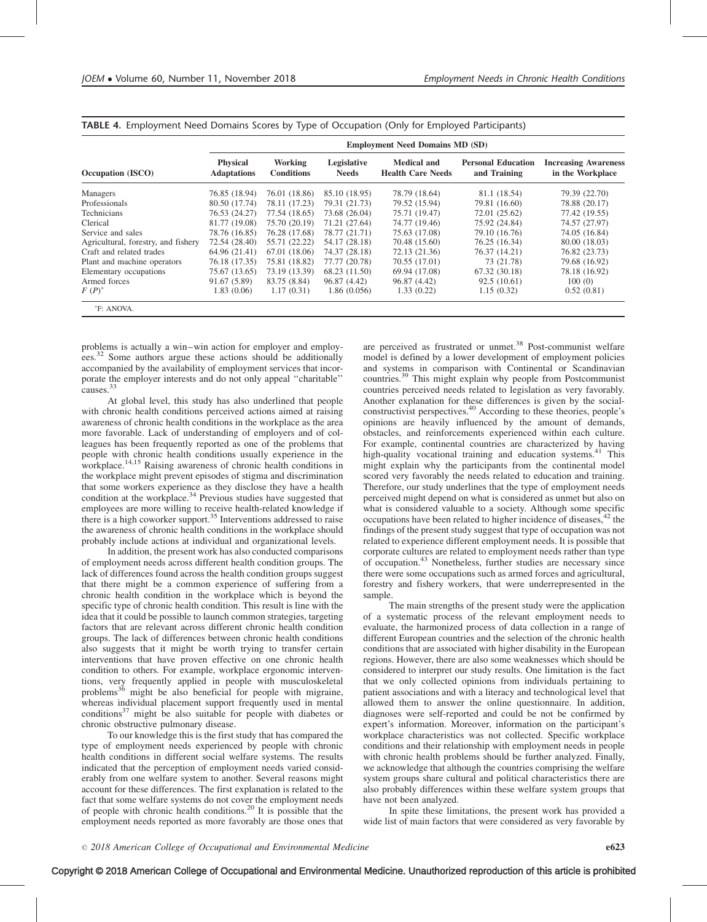|                                     | <b>Employment Need Domains MD (SD)</b> |                              |                             |                                                |                                           |                                                 |  |  |  |  |
|-------------------------------------|----------------------------------------|------------------------------|-----------------------------|------------------------------------------------|-------------------------------------------|-------------------------------------------------|--|--|--|--|
| Occupation (ISCO)                   | <b>Physical</b><br><b>Adaptations</b>  | Working<br><b>Conditions</b> | Legislative<br><b>Needs</b> | <b>Medical and</b><br><b>Health Care Needs</b> | <b>Personal Education</b><br>and Training | <b>Increasing Awareness</b><br>in the Workplace |  |  |  |  |
| Managers                            | 76.85 (18.94)                          | 76.01 (18.86)                | 85.10 (18.95)               | 78.79 (18.64)                                  | 81.1 (18.54)                              | 79.39 (22.70)                                   |  |  |  |  |
| Professionals                       | 80.50 (17.74)                          | 78.11 (17.23)                | 79.31 (21.73)               | 79.52 (15.94)                                  | 79.81 (16.60)                             | 78.88 (20.17)                                   |  |  |  |  |
| Technicians                         | 76.53 (24.27)                          | 77.54 (18.65)                | 73.68 (26.04)               | 75.71 (19.47)                                  | 72.01 (25.62)                             | 77.42 (19.55)                                   |  |  |  |  |
| Clerical                            | 81.77 (19.08)                          | 75.70 (20.19)                | 71.21 (27.64)               | 74.77 (19.46)                                  | 75.92 (24.84)                             | 74.57 (27.97)                                   |  |  |  |  |
| Service and sales                   | 78.76 (16.85)                          | 76.28 (17.68)                | 78.77 (21.71)               | 75.63 (17.08)                                  | 79.10 (16.76)                             | 74.05 (16.84)                                   |  |  |  |  |
| Agricultural, forestry, and fishery | 72.54 (28.40)                          | 55.71 (22.22)                | 54.17 (28.18)               | 70.48 (15.60)                                  | 76.25 (16.34)                             | 80.00 (18.03)                                   |  |  |  |  |
| Craft and related trades            | 64.96 (21.41)                          | 67.01 (18.06)                | 74.37 (28.18)               | 72.13 (21.36)                                  | 76.37 (14.21)                             | 76.82 (23.73)                                   |  |  |  |  |
| Plant and machine operators         | 76.18 (17.35)                          | 75.81 (18.82)                | 77.77 (20.78)               | 70.55 (17.01)                                  | 73 (21.78)                                | 79.68 (16.92)                                   |  |  |  |  |
| Elementary occupations              | 75.67 (13.65)                          | 73.19 (13.39)                | 68.23 (11.50)               | 69.94 (17.08)                                  | 67.32 (30.18)                             | 78.18 (16.92)                                   |  |  |  |  |
| Armed forces                        | 91.67 (5.89)                           | 83.75 (8.84)                 | 96.87 (4.42)                | 96.87 (4.42)                                   | 92.5(10.61)                               | 100(0)                                          |  |  |  |  |
| $F(P)^*$                            | 1.83(0.06)                             | 1.17(0.31)                   | 1.86(0.056)                 | 1.33(0.22)                                     | 1.15(0.32)                                | 0.52(0.81)                                      |  |  |  |  |

TABLE 4. Employment Need Domains Scores by Type of Occupation (Only for Employed Participants)

problems is actually a win–win action for employer and employ-ees.<sup>[32](#page-6-0)</sup> Some authors argue these actions should be additionally accompanied by the availability of employment services that incorporate the employer interests and do not only appeal ''charitable'' causes.[33](#page-6-0)

At global level, this study has also underlined that people with chronic health conditions perceived actions aimed at raising awareness of chronic health conditions in the workplace as the area more favorable. Lack of understanding of employers and of colleagues has been frequently reported as one of the problems that people with chronic health conditions usually experience in the workplace.<sup>[14,15](#page-6-0)</sup> Raising awareness of chronic health conditions in the workplace might prevent episodes of stigma and discrimination that some workers experience as they disclose they have a health condition at the workplace.<sup>[34](#page-6-0)</sup> Previous studies have suggested that employees are more willing to receive health-related knowledge if there is a high coworker support.<sup>[35](#page-6-0)</sup> Interventions addressed to raise the awareness of chronic health conditions in the workplace should probably include actions at individual and organizational levels.

In addition, the present work has also conducted comparisons of employment needs across different health condition groups. The lack of differences found across the health condition groups suggest that there might be a common experience of suffering from a chronic health condition in the workplace which is beyond the specific type of chronic health condition. This result is line with the idea that it could be possible to launch common strategies, targeting factors that are relevant across different chronic health condition groups. The lack of differences between chronic health conditions also suggests that it might be worth trying to transfer certain interventions that have proven effective on one chronic health condition to others. For example, workplace ergonomic interventions, very frequently applied in people with musculoskeletal problems<sup>[36](#page-6-0)</sup> might be also beneficial for people with migraine, whereas individual placement support frequently used in mental conditions<sup>[37](#page-6-0)</sup> might be also suitable for people with diabetes or chronic obstructive pulmonary disease.

To our knowledge this is the first study that has compared the type of employment needs experienced by people with chronic health conditions in different social welfare systems. The results indicated that the perception of employment needs varied considerably from one welfare system to another. Several reasons might account for these differences. The first explanation is related to the fact that some welfare systems do not cover the employment needs of people with chronic health conditions.[20](#page-6-0) It is possible that the employment needs reported as more favorably are those ones that

are perceived as frustrated or unmet.<sup>[38](#page-6-0)</sup> Post-communist welfare model is defined by a lower development of employment policies and systems in comparison with Continental or Scandinavian countries.[39](#page-6-0) This might explain why people from Postcommunist countries perceived needs related to legislation as very favorably. Another explanation for these differences is given by the social-constructivist perspectives.<sup>[40](#page-6-0)</sup> According to these theories, people's opinions are heavily influenced by the amount of demands, obstacles, and reinforcements experienced within each culture. For example, continental countries are characterized by having high-quality vocational training and education systems.<sup>[41](#page-6-0)</sup> This might explain why the participants from the continental model scored very favorably the needs related to education and training. Therefore, our study underlines that the type of employment needs perceived might depend on what is considered as unmet but also on what is considered valuable to a society. Although some specific occupations have been related to higher incidence of diseases,<sup>[42](#page-6-0)</sup> the findings of the present study suggest that type of occupation was not related to experience different employment needs. It is possible that corporate cultures are related to employment needs rather than type of occupation.[43](#page-6-0) Nonetheless, further studies are necessary since there were some occupations such as armed forces and agricultural, forestry and fishery workers, that were underrepresented in the sample.

The main strengths of the present study were the application of a systematic process of the relevant employment needs to evaluate, the harmonized process of data collection in a range of different European countries and the selection of the chronic health conditions that are associated with higher disability in the European regions. However, there are also some weaknesses which should be considered to interpret our study results. One limitation is the fact that we only collected opinions from individuals pertaining to patient associations and with a literacy and technological level that allowed them to answer the online questionnaire. In addition, diagnoses were self-reported and could be not be confirmed by expert's information. Moreover, information on the participant's workplace characteristics was not collected. Specific workplace conditions and their relationship with employment needs in people with chronic health problems should be further analyzed. Finally, we acknowledge that although the countries comprising the welfare system groups share cultural and political characteristics there are also probably differences within these welfare system groups that have not been analyzed.

In spite these limitations, the present work has provided a wide list of main factors that were considered as very favorable by

Copyright © 2018 American College of Occupational and Environmental Medicine. Unauthorized reproduction of this article is prohibited